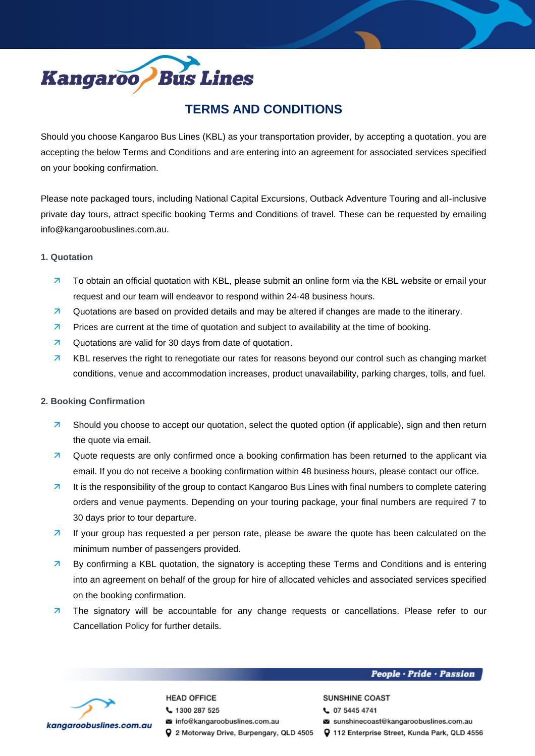

# **TERMS AND CONDITIONS**

Should you choose Kangaroo Bus Lines (KBL) as your transportation provider, by accepting a quotation, you are accepting the below Terms and Conditions and are entering into an agreement for associated services specified on your booking confirmation.

Please note packaged tours, including National Capital Excursions, Outback Adventure Touring and all-inclusive private day tours, attract specific booking Terms and Conditions of travel. These can be requested by emailing info@kangaroobuslines.com.au.

### **1. Quotation**

- $\overline{z}$  To obtain an official quotation with KBL, please submit an online form via the KBL website or email your request and our team will endeavor to respond within 24-48 business hours.
- **a** Quotations are based on provided details and may be altered if changes are made to the itinerary.
- **Prices are current at the time of quotation and subject to availability at the time of booking.**
- **2** Quotations are valid for 30 days from date of quotation.
- **7** KBL reserves the right to renegotiate our rates for reasons beyond our control such as changing market conditions, venue and accommodation increases, product unavailability, parking charges, tolls, and fuel.

# **2. Booking Confirmation**

- **7** Should you choose to accept our quotation, select the quoted option (if applicable), sign and then return the quote via email.
- **Z** Quote requests are only confirmed once a booking confirmation has been returned to the applicant via email. If you do not receive a booking confirmation within 48 business hours, please contact our office.
- $\overline{a}$  It is the responsibility of the group to contact Kangaroo Bus Lines with final numbers to complete catering orders and venue payments. Depending on your touring package, your final numbers are required 7 to 30 days prior to tour departure.
- **If your group has requested a per person rate, please be aware the quote has been calculated on the** minimum number of passengers provided.
- **By confirming a KBL quotation, the signatory is accepting these Terms and Conditions and is entering** into an agreement on behalf of the group for hire of allocated vehicles and associated services specified on the booking confirmation.
- **7** The signatory will be accountable for any change requests or cancellations. Please refer to our Cancellation Policy for further details.



# **HEAD OFFICE**

- € 1300 287 525
- a info@kangaroobuslines.com.au
- 

### People · Pride · Passion

### **SUNSHINE COAST**

- € 07 5445 4741
- sunshinecoast@kangaroobuslines.com.au
- Q 2 Motorway Drive, Burpengary, QLD 4505 Q 112 Enterprise Street, Kunda Park, QLD 4556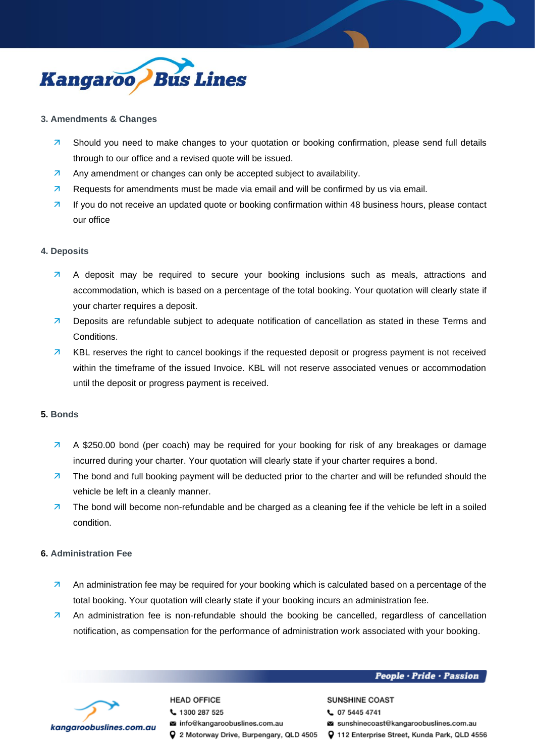

### **3. Amendments & Changes**

- **7** Should you need to make changes to your quotation or booking confirmation, please send full details through to our office and a revised quote will be issued.
- Any amendment or changes can only be accepted subject to availability.
- $\overline{z}$  Requests for amendments must be made via email and will be confirmed by us via email.
- 7 If you do not receive an updated quote or booking confirmation within 48 business hours, please contact our office

### **4. Deposits**

- A deposit may be required to secure your booking inclusions such as meals, attractions and accommodation, which is based on a percentage of the total booking. Your quotation will clearly state if your charter requires a deposit.
- **7** Deposits are refundable subject to adequate notification of cancellation as stated in these Terms and Conditions.
- **7** KBL reserves the right to cancel bookings if the requested deposit or progress payment is not received within the timeframe of the issued Invoice. KBL will not reserve associated venues or accommodation until the deposit or progress payment is received.

### **5. Bonds**

- A \$250.00 bond (per coach) may be required for your booking for risk of any breakages or damage incurred during your charter. Your quotation will clearly state if your charter requires a bond.
- **7** The bond and full booking payment will be deducted prior to the charter and will be refunded should the vehicle be left in a cleanly manner.
- $\overline{z}$  The bond will become non-refundable and be charged as a cleaning fee if the vehicle be left in a soiled condition.

### **6. Administration Fee**

- An administration fee may be required for your booking which is calculated based on a percentage of the total booking. Your quotation will clearly state if your booking incurs an administration fee.
- An administration fee is non-refundable should the booking be cancelled, regardless of cancellation notification, as compensation for the performance of administration work associated with your booking.

### People · Pride · Passion



# **HEAD OFFICE**

- € 1300 287 525
- a info@kangaroobuslines.com.au
- Q 2 Motorway Drive, Burpengary, QLD 4505 Q 112 Enterprise Street, Kunda Park, QLD 4556
- **SUNSHINE COAST** € 07 5445 4741
- sunshinecoast@kangaroobuslines.com.au
-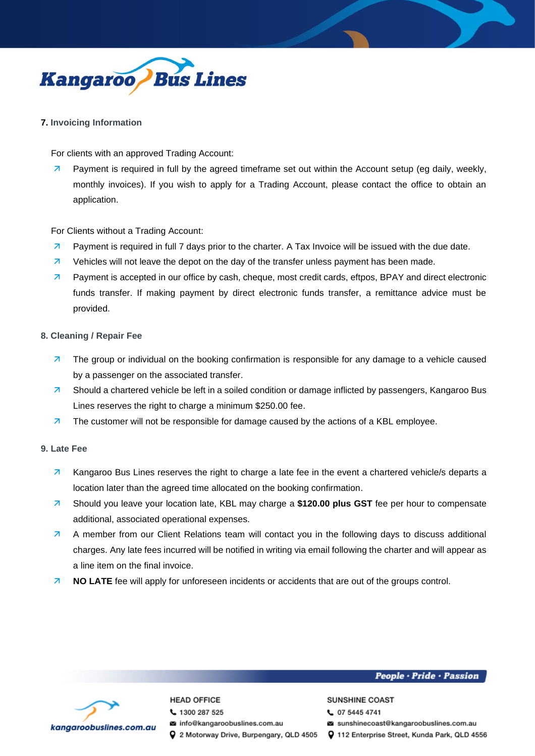

# **7. Invoicing Information**

For clients with an approved Trading Account:

**Payment is required in full by the agreed timeframe set out within the Account setup (eg daily, weekly,** monthly invoices). If you wish to apply for a Trading Account, please contact the office to obtain an application.

For Clients without a Trading Account:

- **7** Payment is required in full 7 days prior to the charter. A Tax Invoice will be issued with the due date.
- $\overline{z}$  Vehicles will not leave the depot on the day of the transfer unless payment has been made.
- **7** Payment is accepted in our office by cash, cheque, most credit cards, eftpos, BPAY and direct electronic funds transfer. If making payment by direct electronic funds transfer, a remittance advice must be provided.

# **8. Cleaning / Repair Fee**

- $\overline{z}$  The group or individual on the booking confirmation is responsible for any damage to a vehicle caused by a passenger on the associated transfer.
- **7** Should a chartered vehicle be left in a soiled condition or damage inflicted by passengers, Kangaroo Bus Lines reserves the right to charge a minimum \$250.00 fee.
- $\overline{z}$  The customer will not be responsible for damage caused by the actions of a KBL employee.

# **9. Late Fee**

- 7 Kangaroo Bus Lines reserves the right to charge a late fee in the event a chartered vehicle/s departs a location later than the agreed time allocated on the booking confirmation.
- Should you leave your location late, KBL may charge a **\$120.00 plus GST** fee per hour to compensate additional, associated operational expenses.
- A member from our Client Relations team will contact you in the following days to discuss additional charges. Any late fees incurred will be notified in writing via email following the charter and will appear as a line item on the final invoice.
- **NO LATE** fee will apply for unforeseen incidents or accidents that are out of the groups control.

### People · Pride · Passion



# **HEAD OFFICE**

- € 1300 287 525
- a info@kangaroobuslines.com.au
- Q 2 Motorway Drive, Burpengary, QLD 4505 Q 112 Enterprise Street, Kunda Park, QLD 4556

#### **SUNSHINE COAST** € 07 5445 4741

- 
- sunshinecoast@kangaroobuslines.com.au
-